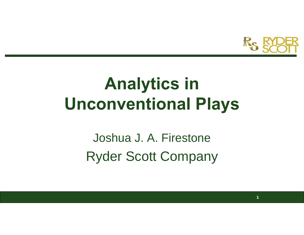Re

**1**

## **Analytics in Unconventional Plays**

Joshua J. A. FirestoneRyder Scott Company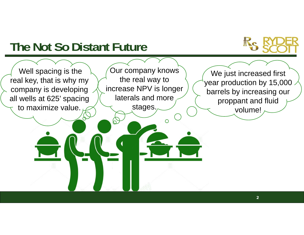## **The Not So Distant Future**

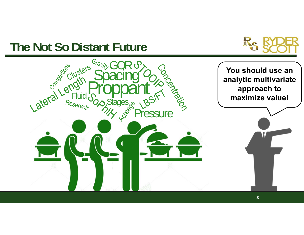### **The Not So Distant Future**



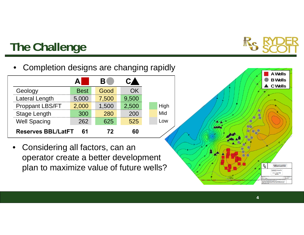

**4**

## **The Challenge**

•Completion designs are changing rapidly

| Geology                   | <b>Best</b> | Good  | ŊК    |
|---------------------------|-------------|-------|-------|
| Lateral Length            | 5,000       | 7,500 | 9,500 |
| <b>Proppant LBS/FT</b>    | 2,000       | 1,500 | 2,500 |
| <b>Stage Length</b>       | 300         | 280   | 200   |
| <b>Well Spacing</b>       | 262         | 625   | 525   |
| <b>Reserves BBL/LatFT</b> | 61          | 72    | 60    |

 $\bullet$  Considering all factors, can an operator create a better development plan to maximize value of future wells?

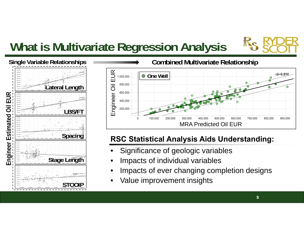## **What is Multivariate Regression Analysis**





### **RSC Statistical Analysis Aids Understanding:**

- •Significance of geologic variables
- •Impacts of individual variables
- •Impacts of ever changing completion designs
- •Value improvement insights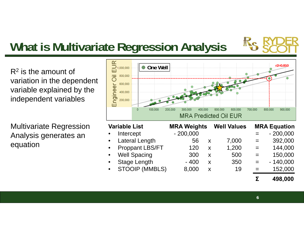## **What is Multivariate Regression Analysis**

 $\mathsf{R}^2$  is the amount of variation in the dependent variable explained by the independent variables

Multivariate Regression Analysis generates an equation



|           | <b>Variable List</b>   | <b>MRA Weights</b> |   | <b>Well Values</b> |     | <b>MRA Equation</b> |
|-----------|------------------------|--------------------|---|--------------------|-----|---------------------|
| $\bullet$ | Intercept              | $-200,000$         |   |                    | $=$ | $-200,000$          |
| $\bullet$ | <b>Lateral Length</b>  | 56                 | X | 7,000              | $=$ | 392,000             |
| $\bullet$ | <b>Proppant LBS/FT</b> | 120                | X | 1,200              | $=$ | 144,000             |
| $\bullet$ | <b>Well Spacing</b>    | 300                | X | 500                | $=$ | 150,000             |
| $\bullet$ | <b>Stage Length</b>    | $-400$             | X | 350                | $=$ | $-140,000$          |
| $\bullet$ | <b>STOOIP (MMBLS)</b>  | 8,000              | X | 19                 | $=$ | 152,000             |
|           |                        |                    |   |                    | Σ   | 498,000             |

**6**

**AND**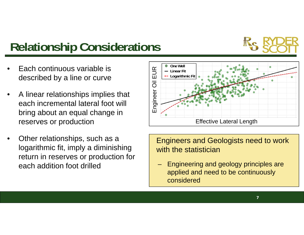## **Relationship Considerations**



- • Each continuous variable is described by a line or curve
- • A linear relationships implies that each incremental lateral foot will bring about an equal change in reserves or production
- • Other relationships, such as a logarithmic fit, imply a diminishing return in reserves or production for each addition foot drilled



Engineers and Geologists need to work with the statistician

 Engineering and geology principles are applied and need to be continuously considered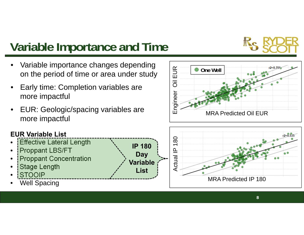## **Variable Importance and Time**



- • Early time: Completion variables are more impactful
- • EUR: Geologic/spacing variables are more impactful

**IP 180** 

**Day Variable**

**List**

#### **EUR Variable List**

- •Effective Lateral Length
- •Proppant LBS/FT
- •Proppant Concentration
- •Stage Length
- •STOOIP
- •Well Spacing



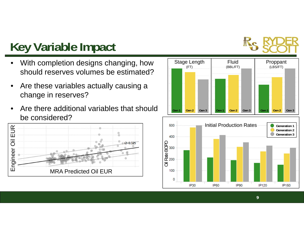

## **Key Variable Impact**

- • With completion designs changing, how should reserves volumes be estimated?
- $\bullet$  Are these variables actually causing a change in reserves?
- • Are there additional variables that should be considered?



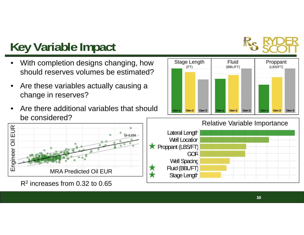

## **Key Variable Impact**

- • With completion designs changing, how should reserves volumes be estimated?
- • Are these variables actually causing a change in reserves?
- • Are there additional variables that should be considered?



R2 increases from 0.32 to 0.65



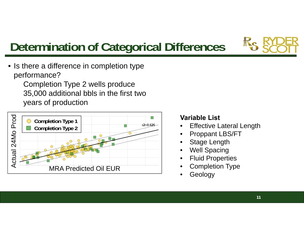

## **Determination of Categorical Differences**

• Is there a difference in completion type performance?

Completion Type 2 wells produce 35,000 additional bbls in the first two years of production



- 
- 
- 
- 
- 
- 
- •Geology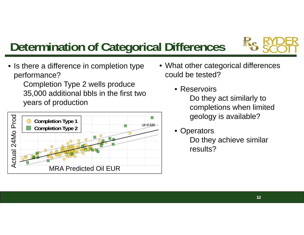

## **Determination of Categorical Differences**

• Is there a difference in completion type performance?

Completion Type 2 wells produce 35,000 additional bbls in the first two years of production



- What other categorical differences could be tested?
	- Reservoirs

Do they act similarly to completions when limited geology is available?

• Operators Do they achieve similar results?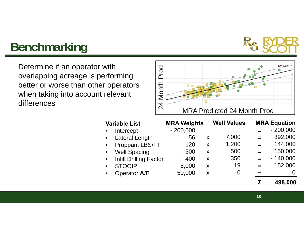# **TANKERS**

## **Benchmarking**

Determine if an operator with overlapping acreage is performing better or worse than other operators when taking into account relevant differences

![](_page_12_Figure_3.jpeg)

| <b>Variable List</b>                       | <b>MRA Weights</b> |   | <b>Well Values</b> |     | <b>MRA Equation</b> |
|--------------------------------------------|--------------------|---|--------------------|-----|---------------------|
| Intercept<br>$\bullet$                     | $-200,000$         |   |                    |     | $-200,000$          |
| <b>Lateral Length</b><br>$\bullet$         | 56                 | X | 7,000              | $=$ | 392,000             |
| <b>Proppant LBS/FT</b><br>$\bullet$        | 120                | X | 1,200              | $=$ | 144,000             |
| <b>Well Spacing</b><br>$\bullet$           | 300                | X | 500                | $=$ | 150,000             |
| <b>Infill Drilling Factor</b><br>$\bullet$ | $-400$             | X | 350                | $=$ | $-140,000$          |
| <b>STOOIP</b><br>$\bullet$                 | 8,000              | X | 19                 |     | 152,000             |
| Operator A/B<br>$\bullet$                  | 50,000             | X | 0                  |     | O                   |
|                                            |                    |   |                    | Σ   | 498,000             |
|                                            |                    |   |                    |     |                     |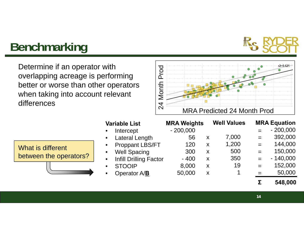# **TAXABAN**

## **Benchmarking**

Determine if an operator with overlapping acreage is performing better or worse than other operators when taking into account relevant differences

|  |                                    | <b>STATISTICS</b> |  |  |
|--|------------------------------------|-------------------|--|--|
|  |                                    |                   |  |  |
|  |                                    |                   |  |  |
|  | <b>MRA Predicted 24 Month Prod</b> |                   |  |  |

|                        |           | Intercept                |  |
|------------------------|-----------|--------------------------|--|
|                        | $\bullet$ | <b>Lateral Length</b>    |  |
| What is different      |           | • Proppant LBS/FT        |  |
|                        |           | • Well Spacing           |  |
| between the operators? |           | • Infill Drilling Factor |  |
|                        |           | <b>STOOIP</b>            |  |
|                        |           | Operator A/B             |  |
|                        |           |                          |  |

**Variable List**

| <b>MRA Weights</b> |   | <b>Well Values</b> |     | <b>MRA Equation</b> |
|--------------------|---|--------------------|-----|---------------------|
| $-200,000$         |   |                    |     | $-200,000$          |
| 56                 | X | 7,000              | $=$ | 392,000             |
| 120                | X | 1,200              | $=$ | 144,000             |
| 300                | X | 500                | $=$ | 150,000             |
| $-400$             | X | 350                | $=$ | $-140,000$          |
| 8,000              | X | 19                 |     | 152,000             |
| 50,000             | X | 1                  |     | 50,000              |
|                    |   |                    |     | 548.000             |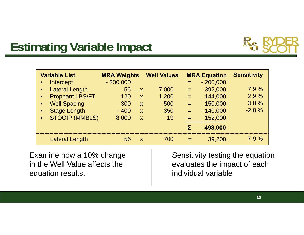## **Estimating Variable Impact**

| <b>Variable List</b>   | <b>MRA Weights</b> |                           | <b>Well Values</b> |     | <b>MRA Equation</b> | <b>Sensitivity</b> |
|------------------------|--------------------|---------------------------|--------------------|-----|---------------------|--------------------|
| Intercept              | $-200,000$         |                           |                    | $=$ | $-200,000$          |                    |
| • Lateral Length       | 56                 | $\boldsymbol{X}$          | 7,000              | $=$ | 392,000             | 7.9%               |
| <b>Proppant LBS/FT</b> | 120                | $\mathsf{X}$              | 1,200              | $=$ | 144,000             | 2.9%               |
| <b>Well Spacing</b>    | 300                | $\mathsf{x}$              | 500                | $=$ | 150,000             | 3.0%               |
| <b>Stage Length</b>    | $-400$             | $\boldsymbol{\mathsf{X}}$ | 350                | $=$ | $-140,000$          | $-2.8%$            |
| <b>STOOIP (MMBLS)</b>  | 8,000              | X                         | 19                 | $=$ | 152,000             |                    |
|                        |                    |                           |                    | Σ   | 498,000             |                    |
| <b>Lateral Length</b>  | 56                 | X                         | 700                |     | 39,200              | 7.9%               |

Examine how a 10% change in the Well Value affects the equation results.

Sensitivity testing the equation evaluates the impact of each individual variable

RC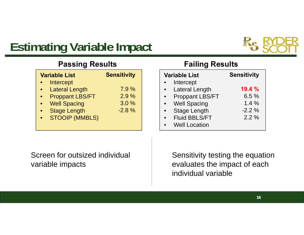## **Estimating Variable Impact**

![](_page_15_Picture_1.jpeg)

### **Passing Results**

|           | <b>Variable List</b>   | <b>Sensitivity</b> |
|-----------|------------------------|--------------------|
|           | Intercept              |                    |
| $\bullet$ | <b>Lateral Length</b>  | 7.9%               |
|           | <b>Proppant LBS/FT</b> | 2.9%               |
|           | <b>Well Spacing</b>    | 3.0%               |
|           | <b>Stage Length</b>    | $-2.8%$            |
|           | <b>STOOIP (MMBLS)</b>  |                    |
|           |                        |                    |

#### **Failing Results**

| <b>Variable List</b>   | <b>Sensitivity</b> |
|------------------------|--------------------|
| Intercept              |                    |
| <b>Lateral Length</b>  | 19.4 %             |
| <b>Proppant LBS/FT</b> | 6.5%               |
| <b>Well Spacing</b>    | 1.4%               |
| <b>Stage Length</b>    | $-2.2%$            |
| <b>Fluid BBLS/FT</b>   | $2.2\%$            |
| <b>Well Location</b>   |                    |

Screen for outsized individual variable impacts

Sensitivity testing the equation evaluates the impact of each individual variable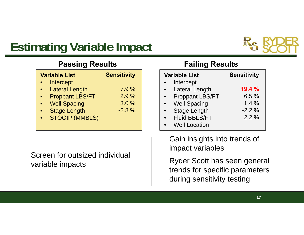## **Estimating Variable Impact**

![](_page_16_Picture_1.jpeg)

### **Passing Results**

| <b>Variable List</b>   | <b>Sensitivity</b> |
|------------------------|--------------------|
| Intercept              |                    |
| <b>Lateral Length</b>  | 7.9%               |
| <b>Proppant LBS/FT</b> | 2.9%               |
| <b>Well Spacing</b>    | 3.0%               |
| <b>Stage Length</b>    | $-2.8%$            |
| <b>STOOIP (MMBLS)</b>  |                    |

Screen for outsized individual variable impacts

### **Failing Results**

| <b>Variable List</b>   | <b>Sensitivity</b> |
|------------------------|--------------------|
| Intercept              |                    |
| <b>Lateral Length</b>  | 19.4%              |
| <b>Proppant LBS/FT</b> | 6.5%               |
| <b>Well Spacing</b>    | $1.4\%$            |
| <b>Stage Length</b>    | $-2.2%$            |
| <b>Fluid BBLS/FT</b>   | $2.2\%$            |
| <b>Well Location</b>   |                    |

Gain insights into trends of impact variables

Ryder Scott has seen general trends for specific parameters during sensitivity testing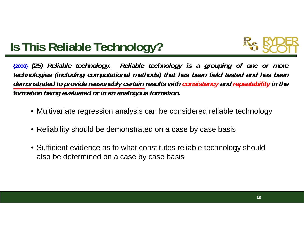![](_page_17_Picture_0.jpeg)

## **Is This Reliable Technology?**

(2008) (25) Reliable technology. Reliable technology is a grouping of one or more technologies (including computational methods) that has been field tested and has been demonstrated to provide reasonably certain results with consistency and repeatability in the *formation being evaluated or in an analogous formation.*

- Multivariate regression analysis can be considered reliable technology
- Reliability should be demonstrated on a case by case basis
- Sufficient evidence as to what constitutes reliable technology should also be determined on a case by case basis